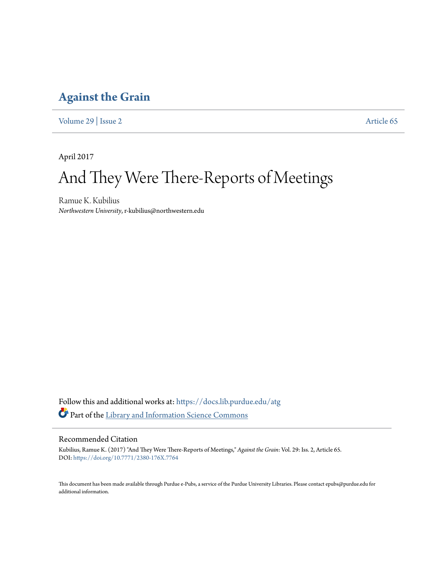## **[Against the Grain](https://docs.lib.purdue.edu/atg?utm_source=docs.lib.purdue.edu%2Fatg%2Fvol29%2Fiss2%2F65&utm_medium=PDF&utm_campaign=PDFCoverPages)**

[Volume 29](https://docs.lib.purdue.edu/atg/vol29?utm_source=docs.lib.purdue.edu%2Fatg%2Fvol29%2Fiss2%2F65&utm_medium=PDF&utm_campaign=PDFCoverPages) | [Issue 2](https://docs.lib.purdue.edu/atg/vol29/iss2?utm_source=docs.lib.purdue.edu%2Fatg%2Fvol29%2Fiss2%2F65&utm_medium=PDF&utm_campaign=PDFCoverPages) [Article 65](https://docs.lib.purdue.edu/atg/vol29/iss2/65?utm_source=docs.lib.purdue.edu%2Fatg%2Fvol29%2Fiss2%2F65&utm_medium=PDF&utm_campaign=PDFCoverPages)

April 2017

# And They Were There-Reports of Meetings

Ramue K. Kubilius *Northwestern University*, r-kubilius@northwestern.edu

Follow this and additional works at: [https://docs.lib.purdue.edu/atg](https://docs.lib.purdue.edu/atg?utm_source=docs.lib.purdue.edu%2Fatg%2Fvol29%2Fiss2%2F65&utm_medium=PDF&utm_campaign=PDFCoverPages) Part of the [Library and Information Science Commons](http://network.bepress.com/hgg/discipline/1018?utm_source=docs.lib.purdue.edu%2Fatg%2Fvol29%2Fiss2%2F65&utm_medium=PDF&utm_campaign=PDFCoverPages)

## Recommended Citation

Kubilius, Ramue K. (2017) "And They Were There-Reports of Meetings," *Against the Grain*: Vol. 29: Iss. 2, Article 65. DOI: <https://doi.org/10.7771/2380-176X.7764>

This document has been made available through Purdue e-Pubs, a service of the Purdue University Libraries. Please contact epubs@purdue.edu for additional information.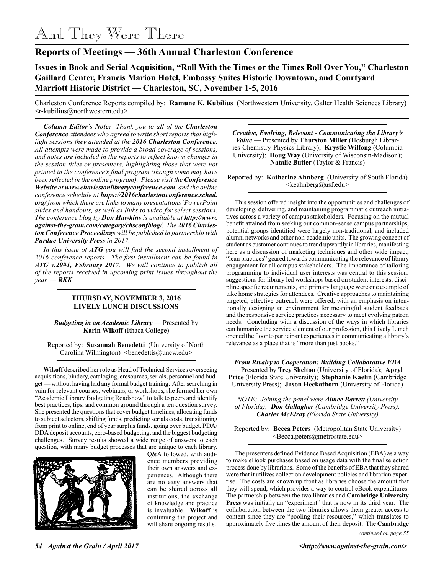## And They Were There

## **Reports of Meetings — 36th Annual Charleston Conference**

**Issues in Book and Serial Acquisition, "Roll With the Times or the Times Roll Over You," Charleston Gaillard Center, Francis Marion Hotel, Embassy Suites Historic Downtown, and Courtyard Marriott Historic District — Charleston, SC, November 1-5, 2016**

Charleston Conference Reports compiled by: **Ramune K. Kubilius** (Northwestern University, Galter Health Sciences Library) <r-kubilius@northwestern.edu>

*Column Editor's Note: Thank you to all of the Charleston Conference attendees who agreed to write short reports that highlight sessions they attended at the 2016 Charleston Conference. All attempts were made to provide a broad coverage of sessions, and notes are included in the reports to reflect known changes in the session titles or presenters, highlighting those that were not printed in the conference's final program (though some may have been reflected in the online program). Please visit the Conference Website at www.charlestonlibraryconference.com, and the online conference schedule at https://2016charlestonconference.sched. org/ from which there are links to many presentations' PowerPoint slides and handouts, as well as links to video for select sessions. The conference blog by Don Hawkins is available at http://www. against-the-grain.com/category/chsconfblog/. The 2016 Charleston Conference Proceedings will be published in partnership with Purdue University Press in 2017.*

*In this issue of ATG you will find the second installment of 2016 conference reports. The first installment can be found in ATG v.29#1, February 2017. We will continue to publish all of the reports received in upcoming print issues throughout the year. — RKK*

### **THURSDAY, NOVEMBER 3, 2016 LIVELY LUNCH DISCUSSIONS**

*Budgeting in an Academic Library* — Presented by **Karin Wikoff** (Ithaca College)

Reported by: **Susannah Benedetti** (University of North Carolina Wilmington) <br/>benedettis@uncw.edu>

**Wikoff** described her role as Head of Technical Services overseeing acquisitions, bindery, cataloging, eresources, serials, personnel and budget — without having had any formal budget training. After searching in vain for relevant courses, webinars, or workshops, she formed her own "Academic Library Budgeting Roadshow" to talk to peers and identify best practices, tips, and common ground through a ten question survey. She presented the questions that cover budget timelines, allocating funds to subject selectors, shifting funds, predicting serials costs, transitioning from print to online, end of year surplus funds, going over budget, PDA/ DDA deposit accounts, zero-based budgeting, and the biggest budgeting challenges. Survey results showed a wide range of answers to each question, with many budget processes that are unique to each library.



Q&A followed, with audience members providing their own answers and experiences. Although there are no easy answers that can be shared across all institutions, the exchange of knowledge and practice is invaluable. **Wikoff** is continuing the project and will share ongoing results.

*Creative, Evolving, Relevant - Communicating the Library's Value* — Presented by **Thurston Miller** (Hesburgh Libraries-Chemistry-Physics Library); **Krystie Wilfong** (Columbia University); **Doug Way** (University of Wisconsin-Madison); **Natalie Butler** (Taylor & Francis)

Reported by: **Katherine Ahnberg** (University of South Florida)  $\leq$ keahnberg@usf.edu $>$ 

This session offered insight into the opportunities and challenges of developing, delivering, and maintaining programmatic outreach initiatives across a variety of campus stakeholders. Focusing on the mutual benefit attained from seeking out common-sense campus partnerships, potential groups identified were largely non-traditional, and included alumni networks and other non-academic units. The growing concept of student as customer continues to trend upwardly in libraries, manifesting here as a discussion of marketing techniques and other wide impact, "lean practices" geared towards communicating the relevance of library engagement for all campus stakeholders. The importance of tailoring programming to individual user interests was central to this session; suggestions for library led workshops based on student interests, discipline specific requirements, and primary language were one example of take home strategies for attendees. Creative approaches to maintaining targeted, effective outreach were offered, with an emphasis on intentionally designing an environment for meaningful student feedback and the responsive service practices necessary to meet evolving patron needs. Concluding with a discussion of the ways in which libraries can humanize the service element of our profession, this Lively Lunch opened the floor to participant experiences in communicating a library's relevance as a place that is "more than just books."

*From Rivalry to Cooperation: Building Collaborative EBA* — Presented by **Trey Shelton** (University of Florida); **Apryl Price** (Florida State University); **Stephanie Kaelin** (Cambridge University Press); **Jason Heckathorn** (University of Florida)

*NOTE: Joining the panel were Aimee Barrett (University of Florida); Don Gallagher (Cambridge University Press); Charles McElroy (Florida State University)*

Reported by: **Becca Peters** (Metropolitan State University) <Becca.peters@metrostate.edu>

The presenters defined Evidence Based Acquisition (EBA) as a way to make eBook purchases based on usage data with the final selection process done by librarians. Some of the benefits of EBA that they shared were that it utilizes collection development policies and librarian expertise. The costs are known up front as libraries choose the amount that they will spend, which provides a way to control eBook expenditures. The partnership between the two libraries and **Cambridge University Press** was initially an "experiment" that is now in its third year. The collaboration between the two libraries allows them greater access to content since they are "pooling their resources," which translates to approximately five times the amount of their deposit. The **Cambridge**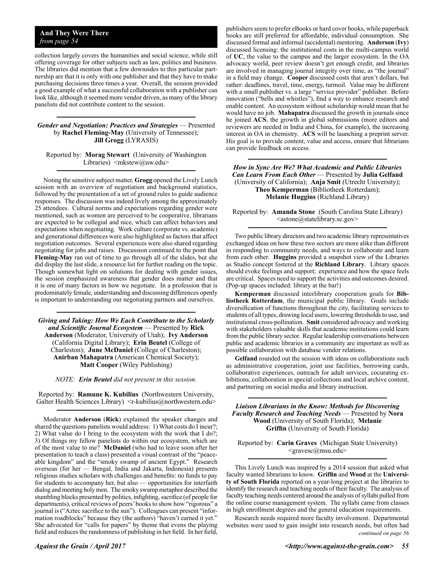## **And They Were There** *from page 54*

collection largely covers the humanities and social science, while still offering coverage for other subjects such as law, politics and business. The libraries did mention that a few downsides to this particular partnership are that it is only with one publisher and that they have to make purchasing decisions three times a year. Overall, the session provided a good example of what a successful collaboration with a publisher can look like, although it seemed more vendor driven, as many of the library panelists did not contribute content to the session.

#### *Gender and Negotiation: Practices and Strategies* — Presented by **Rachel Fleming-May** (University of Tennessee); **Jill Grogg** (LYRASIS)

Reported by: **Morag Stewart** (University of Washington Libraries) <mkstew@uw.edu>

Noting the sensitive subject matter, **Grogg** opened the Lively Lunch session with an overview of negotiation and background statistics, followed by the presentation of a set of ground rules to guide audience responses. The discussion was indeed lively among the approximately 25 attendees. Cultural norms and expectations regarding gender were mentioned, such as women are perceived to be cooperative, librarians are expected to be collegial and nice, which can affect behaviors and expectations when negotiating. Work culture (corporate vs. academic) and generational differences were also highlighted as factors that affect negotiation outcomes. Several experiences were also shared regarding negotiating for jobs and raises. Discussion continued to the point that **Fleming-May** ran out of time to go through all of the slides, but she did display the last slide, a resource list for further reading on the topic. Though somewhat light on solutions for dealing with gender issues, the session emphasized awareness that gender does matter and that it is one of many factors in how we negotiate. In a profession that is predominately female, understanding and discussing differences openly is important to understanding our negotiating partners and ourselves.

*Giving and Taking: How We Each Contribute to the Scholarly and Scientific Journal Ecosystem* — Presented by **Rick Anderson** (Moderator, University of Utah); **Ivy Anderson** (California Digital Library); **Erin Beutel** (College of Charleston); **June McDaniel** (College of Charleston); **Anirban Mahapatra** (American Chemical Society); **Matt Cooper** (Wiley Publishing)

*NOTE: Erin Beutel did not present in this session.*

Reported by: **Ramune K. Kubilius** (Northwestern University, Galter Health Sciences Library) <r-kubilius@northwestern.edu>

Moderator **Anderson** (**Rick**) explained the speaker changes and shared the questions panelists would address: 1) What costs do I incur?; 2) What value do I bring to the ecosystem with the work that I do?; 3) Of things my fellow panelists do within our ecosystem, which are of the most value to me? **McDaniel** (who had to leave soon after her presentation to teach a class) presented a visual contrast of the "peaceable kingdom" and the "smoky swamp of ancient Egypt." Research overseas (for her — Bengal, India and Jakarta, Indonesia) presents religious studies scholars with challenges and benefits: no funds to pay for students to accompany her, but also — opportunities for interfaith dialog and meeting holy men. The smoky swamp metaphor described the stumbling blocks presented by politics, infighting, sacrifice (of people for departments), critical reviews of peers' books to show how "rigorous" a journal is ("Aztec sacrifice to the sun"). Colleagues can present "information roadblocks" because they (the authors) "haven't earned it yet." She advocated for "calls for papers" by theme that evens the playing field and reduces the randomness of publishing in her field. In her field,

publishers seem to prefer eBooks or hard cover books, while paperback books are still preferred for affordable, individual consumption. She discussed formal and informal (accidental) mentoring. **Anderson** (**Ivy**) discussed licensing: the institutional costs in the multi-campus world of **UC**, the value to the campus and the larger ecosystem. In the OA advocacy world, peer review doesn't get enough credit, and libraries are involved in managing journal integrity over time, as "the journal" in a field may change. **Cooper** discussed costs that aren't dollars, but rather: deadlines, travel, time, energy, turmoil. Value may be different with a small publisher vs. a large "service provider" publisher. Before innovation ("bells and whistles"), find a way to enhance research and enable content. An ecosystem without scholarship would mean that he would have no job. **Mahapatra** discussed the growth in journals since he joined **ACS**, the growth in global submissions (more editors and reviewers are needed in India and China, for example), the increasing interest in OA in chemistry. **ACS** will be launching a preprint server. His goal is to provide content, value and access, ensure that librarians can provide feedback on access.

*How in Sync Are We? What Academic and Public Libraries Can Learn From Each Other* — Presented by **Julia Gelfand** (University of California); **Anja Smit** (Utrecht University); **Theo Kemperman** (Bibliotheek Rotterdam); **Melanie Huggins** (Richland Library)

Reported by: **Amanda Stone** (South Carolina State Library) <astone@statelibrary.sc.gov>

Two public library directors and two academic library representatives exchanged ideas on how these two sectors are more alike than different in responding to community needs, and ways to collaborate and learn from each other. **Huggins** provided a snapshot view of the Libraries as Studio concept fostered at the **Richland Library**. Library spaces should evoke feelings and support; experience and how the space feels are critical. Spaces need to support the activities and outcomes desired. (Pop-up spaces included: library at the bar!)

**Kemperman** discussed interlibrary cooperation goals for **Bibliotheek Rotterdam**, the municipal public library. Goals include diversification of functions throughout the city, facilitating services to students of all types, drawing local users, lowering thresholds to use, and institutional cross-pollination. **Smit** considered advocacy and working with stakeholders valuable skills that academic institutions could learn from the public library sector. Regular leadership conversations between public and academic libraries in a community are important as well as possible collaboration with database vendor relations.

**Gelfand** rounded out the session with ideas on collaborations such as administrative cooperation, joint use facilities, borrowing cards, collaborative experiences, outreach for adult services, cocurating exhibitions, collaboration in special collections and local archive content, and partnering on social media and library instruction.

*Liaison Librarians in the Know: Methods for Discovering Faculty Research and Teaching Needs* — Presented by **Nora Wood** (University of South Florida); **Melanie Griffin** (University of South Florida)

Reported by: **Carin Graves** (Michigan State University) <gravesc@msu.edu>

This Lively Lunch was inspired by a 2014 session that asked what faculty wanted librarians to know. **Griffin** and **Wood** at the **University of South Florida** reported on a year-long project at the libraries to identify the research and teaching needs of their faculty. The analysis of faculty teaching needs centered around the analysis of syllabi pulled from the online course management system. The syllabi came from classes in high enrollment degrees and the general education requirements.

*continued on page 56* Research needs required more faculty involvement. Departmental websites were used to gain insight into research needs, but often had